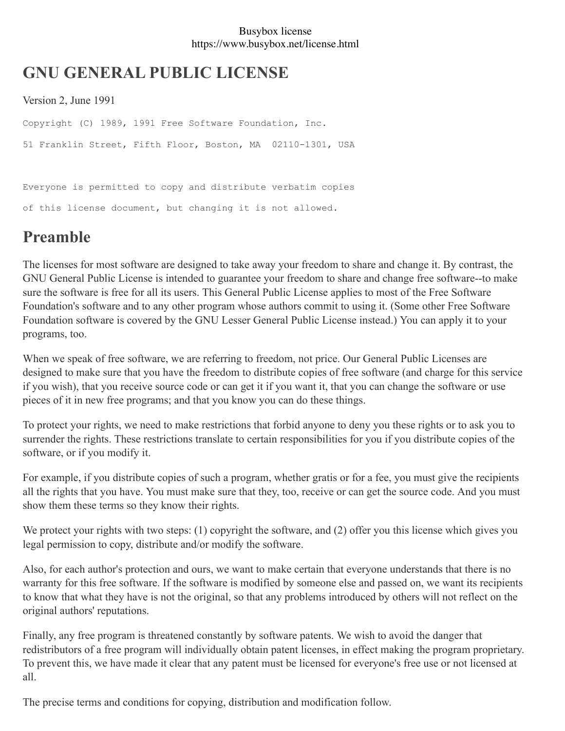#### Busybox license https://www.busybox.net/license.html

# **GNU GENERAL PUBLIC LICENSE**

Version 2, June 1991

Copyright (C) 1989, 1991 Free Software Foundation, Inc. 51 Franklin Street, Fifth Floor, Boston, MA 02110-1301, USA

Everyone is permitted to copy and distribute verbatim copies of this license document, but changing it is not allowed.

# **Preamble**

The licenses for most software are designed to take away your freedom to share and change it. By contrast, the GNU General Public License is intended to guarantee your freedom to share and change free software--to make sure the software is free for all its users. This General Public License applies to most of the Free Software Foundation's software and to any other program whose authors commit to using it. (Some other Free Software Foundation software is covered by the GNU Lesser General Public License instead.) You can apply it to your programs, too.

When we speak of free software, we are referring to freedom, not price. Our General Public Licenses are designed to make sure that you have the freedom to distribute copies of free software (and charge for this service if you wish), that you receive source code or can get it if you want it, that you can change the software or use pieces of it in new free programs; and that you know you can do these things.

To protect your rights, we need to make restrictions that forbid anyone to deny you these rights or to ask you to surrender the rights. These restrictions translate to certain responsibilities for you if you distribute copies of the software, or if you modify it.

For example, if you distribute copies of such a program, whether gratis or for a fee, you must give the recipients all the rights that you have. You must make sure that they, too, receive or can get the source code. And you must show them these terms so they know their rights.

We protect your rights with two steps: (1) copyright the software, and (2) offer you this license which gives you legal permission to copy, distribute and/or modify the software.

Also, for each author's protection and ours, we want to make certain that everyone understands that there is no warranty for this free software. If the software is modified by someone else and passed on, we want its recipients to know that what they have is not the original, so that any problems introduced by others will not reflect on the original authors' reputations.

Finally, any free program is threatened constantly by software patents. We wish to avoid the danger that redistributors of a free program will individually obtain patent licenses, in effect making the program proprietary. To prevent this, we have made it clear that any patent must be licensed for everyone's free use or not licensed at all.

The precise terms and conditions for copying, distribution and modification follow.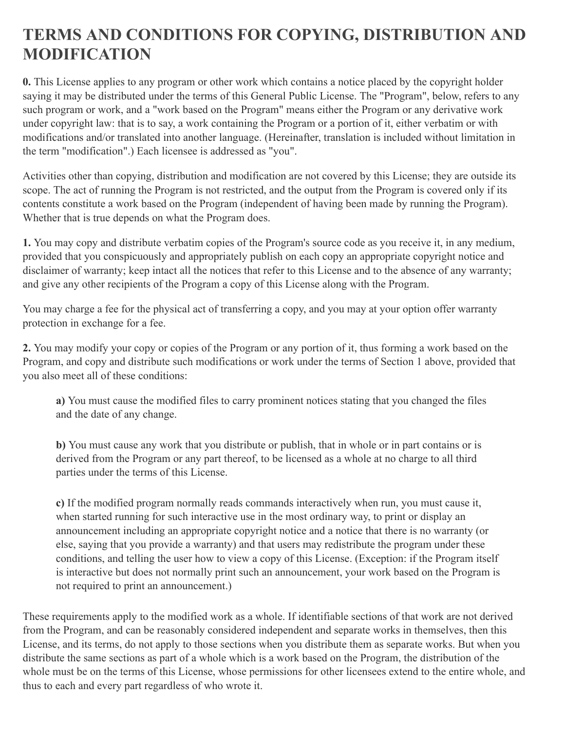### **TERMS AND CONDITIONS FOR COPYING, DISTRIBUTION AND MODIFICATION**

**0.** This License applies to any program or other work which contains a notice placed by the copyright holder saying it may be distributed under the terms of this General Public License. The "Program", below, refers to any such program or work, and a "work based on the Program" means either the Program or any derivative work under copyright law: that is to say, a work containing the Program or a portion of it, either verbatim or with modifications and/or translated into another language. (Hereinafter, translation is included without limitation in the term "modification".) Each licensee is addressed as "you".

Activities other than copying, distribution and modification are not covered by this License; they are outside its scope. The act of running the Program is not restricted, and the output from the Program is covered only if its contents constitute a work based on the Program (independent of having been made by running the Program). Whether that is true depends on what the Program does.

**1.** You may copy and distribute verbatim copies of the Program's source code as you receive it, in any medium, provided that you conspicuously and appropriately publish on each copy an appropriate copyright notice and disclaimer of warranty; keep intact all the notices that refer to this License and to the absence of any warranty; and give any other recipients of the Program a copy of this License along with the Program.

You may charge a fee for the physical act of transferring a copy, and you may at your option offer warranty protection in exchange for a fee.

**2.** You may modify your copy or copies of the Program or any portion of it, thus forming a work based on the Program, and copy and distribute such modifications or work under the terms of Section 1 above, provided that you also meet all of these conditions:

**a)** You must cause the modified files to carry prominent notices stating that you changed the files and the date of any change.

**b)** You must cause any work that you distribute or publish, that in whole or in part contains or is derived from the Program or any part thereof, to be licensed as a whole at no charge to all third parties under the terms of this License.

**c)** If the modified program normally reads commands interactively when run, you must cause it, when started running for such interactive use in the most ordinary way, to print or display an announcement including an appropriate copyright notice and a notice that there is no warranty (or else, saying that you provide a warranty) and that users may redistribute the program under these conditions, and telling the user how to view a copy of this License. (Exception: if the Program itself is interactive but does not normally print such an announcement, your work based on the Program is not required to print an announcement.)

These requirements apply to the modified work as a whole. If identifiable sections of that work are not derived from the Program, and can be reasonably considered independent and separate works in themselves, then this License, and its terms, do not apply to those sections when you distribute them as separate works. But when you distribute the same sections as part of a whole which is a work based on the Program, the distribution of the whole must be on the terms of this License, whose permissions for other licensees extend to the entire whole, and thus to each and every part regardless of who wrote it.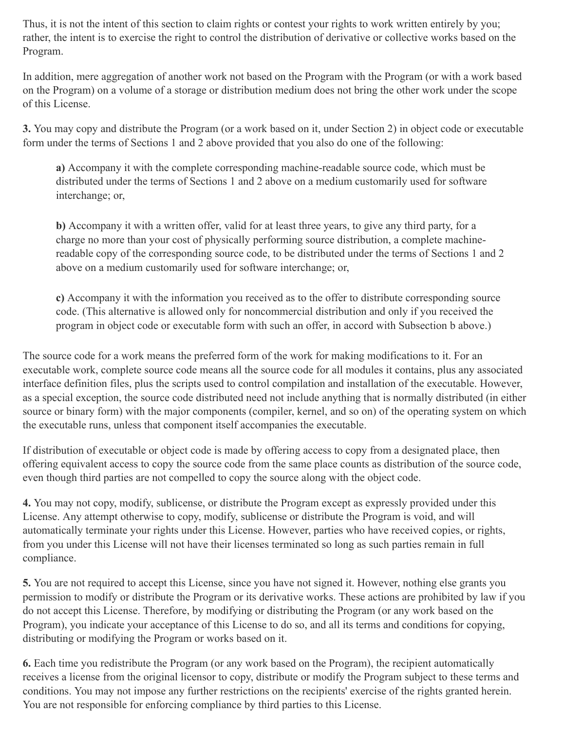Thus, it is not the intent of this section to claim rights or contest your rights to work written entirely by you; rather, the intent is to exercise the right to control the distribution of derivative or collective works based on the Program.

In addition, mere aggregation of another work not based on the Program with the Program (or with a work based on the Program) on a volume of a storage or distribution medium does not bring the other work under the scope of this License.

**3.** You may copy and distribute the Program (or a work based on it, under Section 2) in object code or executable form under the terms of Sections 1 and 2 above provided that you also do one of the following:

**a)** Accompany it with the complete corresponding machine-readable source code, which must be distributed under the terms of Sections 1 and 2 above on a medium customarily used for software interchange; or,

**b)** Accompany it with a written offer, valid for at least three years, to give any third party, for a charge no more than your cost of physically performing source distribution, a complete machinereadable copy of the corresponding source code, to be distributed under the terms of Sections 1 and 2 above on a medium customarily used for software interchange; or,

**c)** Accompany it with the information you received as to the offer to distribute corresponding source code. (This alternative is allowed only for noncommercial distribution and only if you received the program in object code or executable form with such an offer, in accord with Subsection b above.)

The source code for a work means the preferred form of the work for making modifications to it. For an executable work, complete source code means all the source code for all modules it contains, plus any associated interface definition files, plus the scripts used to control compilation and installation of the executable. However, as a special exception, the source code distributed need not include anything that is normally distributed (in either source or binary form) with the major components (compiler, kernel, and so on) of the operating system on which the executable runs, unless that component itself accompanies the executable.

If distribution of executable or object code is made by offering access to copy from a designated place, then offering equivalent access to copy the source code from the same place counts as distribution of the source code, even though third parties are not compelled to copy the source along with the object code.

**4.** You may not copy, modify, sublicense, or distribute the Program except as expressly provided under this License. Any attempt otherwise to copy, modify, sublicense or distribute the Program is void, and will automatically terminate your rights under this License. However, parties who have received copies, or rights, from you under this License will not have their licenses terminated so long as such parties remain in full compliance.

**5.** You are not required to accept this License, since you have not signed it. However, nothing else grants you permission to modify or distribute the Program or its derivative works. These actions are prohibited by law if you do not accept this License. Therefore, by modifying or distributing the Program (or any work based on the Program), you indicate your acceptance of this License to do so, and all its terms and conditions for copying, distributing or modifying the Program or works based on it.

**6.** Each time you redistribute the Program (or any work based on the Program), the recipient automatically receives a license from the original licensor to copy, distribute or modify the Program subject to these terms and conditions. You may not impose any further restrictions on the recipients' exercise of the rights granted herein. You are not responsible for enforcing compliance by third parties to this License.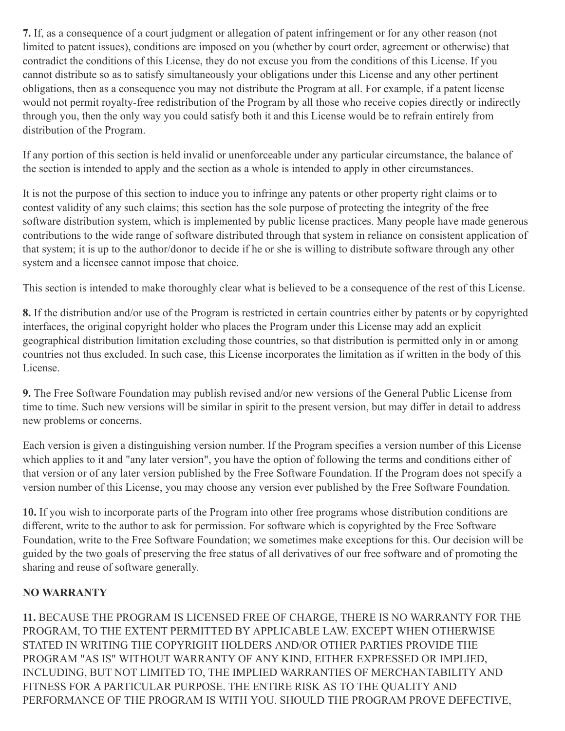**7.** If, as a consequence of a court judgment or allegation of patent infringement or for any other reason (not limited to patent issues), conditions are imposed on you (whether by court order, agreement or otherwise) that contradict the conditions of this License, they do not excuse you from the conditions of this License. If you cannot distribute so as to satisfy simultaneously your obligations under this License and any other pertinent obligations, then as a consequence you may not distribute the Program at all. For example, if a patent license would not permit royalty-free redistribution of the Program by all those who receive copies directly or indirectly through you, then the only way you could satisfy both it and this License would be to refrain entirely from distribution of the Program.

If any portion of this section is held invalid or unenforceable under any particular circumstance, the balance of the section is intended to apply and the section as a whole is intended to apply in other circumstances.

It is not the purpose of this section to induce you to infringe any patents or other property right claims or to contest validity of any such claims; this section has the sole purpose of protecting the integrity of the free software distribution system, which is implemented by public license practices. Many people have made generous contributions to the wide range of software distributed through that system in reliance on consistent application of that system; it is up to the author/donor to decide if he or she is willing to distribute software through any other system and a licensee cannot impose that choice.

This section is intended to make thoroughly clear what is believed to be a consequence of the rest of this License.

**8.** If the distribution and/or use of the Program is restricted in certain countries either by patents or by copyrighted interfaces, the original copyright holder who places the Program under this License may add an explicit geographical distribution limitation excluding those countries, so that distribution is permitted only in or among countries not thus excluded. In such case, this License incorporates the limitation as if written in the body of this License.

**9.** The Free Software Foundation may publish revised and/or new versions of the General Public License from time to time. Such new versions will be similar in spirit to the present version, but may differ in detail to address new problems or concerns.

Each version is given a distinguishing version number. If the Program specifies a version number of this License which applies to it and "any later version", you have the option of following the terms and conditions either of that version or of any later version published by the Free Software Foundation. If the Program does not specify a version number of this License, you may choose any version ever published by the Free Software Foundation.

**10.** If you wish to incorporate parts of the Program into other free programs whose distribution conditions are different, write to the author to ask for permission. For software which is copyrighted by the Free Software Foundation, write to the Free Software Foundation; we sometimes make exceptions for this. Our decision will be guided by the two goals of preserving the free status of all derivatives of our free software and of promoting the sharing and reuse of software generally.

#### **NO WARRANTY**

**11.** BECAUSE THE PROGRAM IS LICENSED FREE OF CHARGE, THERE IS NO WARRANTY FOR THE PROGRAM, TO THE EXTENT PERMITTED BY APPLICABLE LAW. EXCEPT WHEN OTHERWISE STATED IN WRITING THE COPYRIGHT HOLDERS AND/OR OTHER PARTIES PROVIDE THE PROGRAM "AS IS" WITHOUT WARRANTY OF ANY KIND, EITHER EXPRESSED OR IMPLIED, INCLUDING, BUT NOT LIMITED TO, THE IMPLIED WARRANTIES OF MERCHANTABILITY AND FITNESS FOR A PARTICULAR PURPOSE. THE ENTIRE RISK AS TO THE QUALITY AND PERFORMANCE OF THE PROGRAM IS WITH YOU. SHOULD THE PROGRAM PROVE DEFECTIVE,